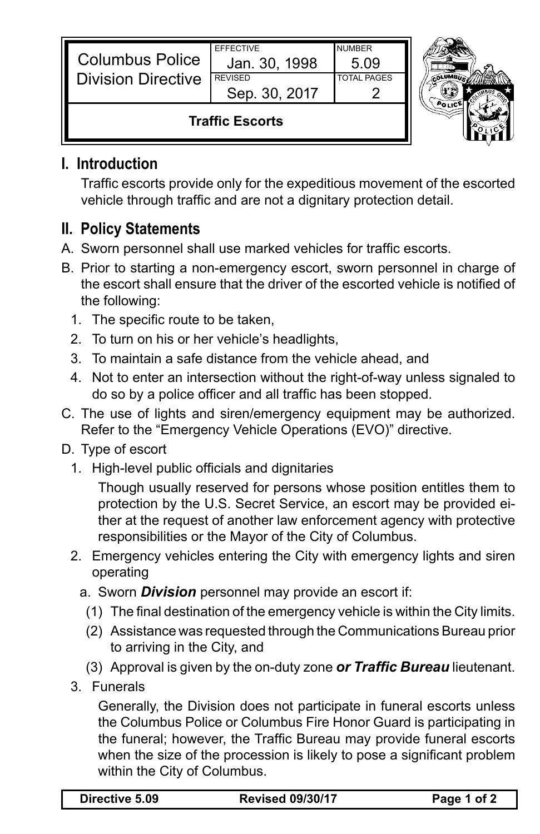| <b>Columbus Police</b><br><b>Division Directive</b> | <b>EFFECTIVE</b><br>Jan. 30, 1998<br><b>REVISED</b><br>Sep. 30, 2017 | <b>NUMBER</b><br>5.09<br><b>TOTAL PAGES</b> |  |
|-----------------------------------------------------|----------------------------------------------------------------------|---------------------------------------------|--|
| <b>Traffic Escorts</b>                              |                                                                      |                                             |  |

## **I. Introduction**

 Traffic escorts provide only for the expeditious movement of the escorted vehicle through traffic and are not a dignitary protection detail.

## **II. Policy Statements**

- A. Sworn personnel shall use marked vehicles for traffic escorts.
- B. Prior to starting a non-emergency escort, sworn personnel in charge of the escort shall ensure that the driver of the escorted vehicle is notified of the following:
	- 1. The specific route to be taken,
	- 2. To turn on his or her vehicle's headlights,
	- 3. To maintain a safe distance from the vehicle ahead, and
	- 4. Not to enter an intersection without the right-of-way unless signaled to do so by a police officer and all traffic has been stopped.
- C. The use of lights and siren/emergency equipment may be authorized. Refer to the "Emergency Vehicle Operations (EVO)" directive.
- D. Type of escort
	- 1. High-level public officials and dignitaries

 Though usually reserved for persons whose position entitles them to protection by the U.S. Secret Service, an escort may be provided either at the request of another law enforcement agency with protective responsibilities or the Mayor of the City of Columbus.

- 2. Emergency vehicles entering the City with emergency lights and siren operating
	- a. Sworn *Division* personnel may provide an escort if:
		- (1) The final destination of the emergency vehicle is within the City limits.
		- (2) Assistance was requested through the Communications Bureau prior to arriving in the City, and
		- (3) Approval is given by the on-duty zone *or Traffic Bureau* lieutenant.
- 3. Funerals

 Generally, the Division does not participate in funeral escorts unless the Columbus Police or Columbus Fire Honor Guard is participating in the funeral; however, the Traffic Bureau may provide funeral escorts when the size of the procession is likely to pose a significant problem within the City of Columbus.